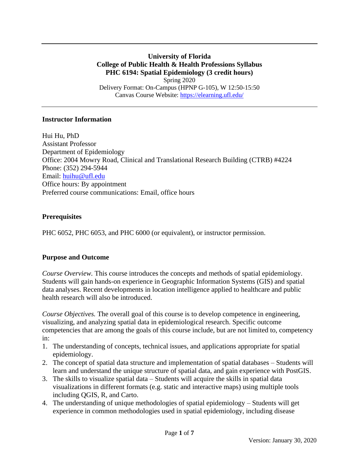**University of Florida College of Public Health & Health Professions Syllabus PHC 6194: Spatial Epidemiology (3 credit hours)** Spring 2020 Delivery Format: On-Campus (HPNP G-105), W 12:50-15:50 Canvas Course Website:<https://elearning.ufl.edu/>

#### **Instructor Information**

Hui Hu, PhD Assistant Professor Department of Epidemiology Office: 2004 Mowry Road, Clinical and Translational Research Building (CTRB) #4224 Phone: (352) 294-5944 Email: [huihu@ufl.edu](mailto:huihu@ufl.edu) Office hours: By appointment Preferred course communications: Email, office hours

## **Prerequisites**

PHC 6052, PHC 6053, and PHC 6000 (or equivalent), or instructor permission.

## **Purpose and Outcome**

*Course Overview.* This course introduces the concepts and methods of spatial epidemiology. Students will gain hands-on experience in Geographic Information Systems (GIS) and spatial data analyses. Recent developments in location intelligence applied to healthcare and public health research will also be introduced.

*Course Objectives.* The overall goal of this course is to develop competence in engineering, visualizing, and analyzing spatial data in epidemiological research. Specific outcome competencies that are among the goals of this course include, but are not limited to, competency in:

- 1. The understanding of concepts, technical issues, and applications appropriate for spatial epidemiology.
- 2. The concept of spatial data structure and implementation of spatial databases Students will learn and understand the unique structure of spatial data, and gain experience with PostGIS.
- 3. The skills to visualize spatial data Students will acquire the skills in spatial data visualizations in different formats (e.g. static and interactive maps) using multiple tools including QGIS, R, and Carto.
- 4. The understanding of unique methodologies of spatial epidemiology Students will get experience in common methodologies used in spatial epidemiology, including disease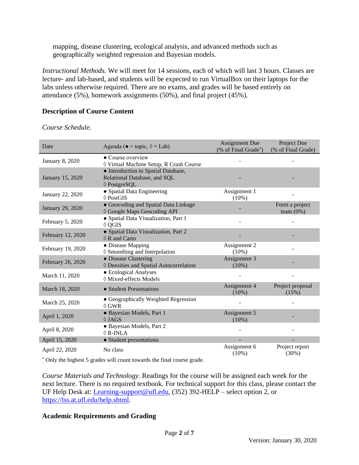mapping, disease clustering, ecological analysis, and advanced methods such as geographically weighted regression and Bayesian models.

*Instructional Methods.* We will meet for 14 sessions, each of which will last 3 hours. Classes are lecture- and lab-based, and students will be expected to run VirtualBox on their laptops for the labs unless otherwise required. There are no exams, and grades will be based entirely on attendance (5%), homework assignments (50%), and final project (45%).

## **Description of Course Content**

*Course Schedule.*

| Date              | Agenda ( $\bullet$ = topic, $\Diamond$ = Lab)                                       | <b>Assignment Due</b><br>(% of Final Grade*) | Project Due<br>(% of Final Grade) |  |
|-------------------|-------------------------------------------------------------------------------------|----------------------------------------------|-----------------------------------|--|
| January 8, 2020   | • Course overview<br>♦ Virtual Machine Setup, R Crash Course                        |                                              |                                   |  |
| January 15, 2020  | • Introduction to Spatial Database,<br>Relational Database, and SQL<br>♦ PostgreSQL |                                              |                                   |  |
| January 22, 2020  | • Spatial Data Engineering<br>$\Diamond$ PostGIS                                    | Assignment 1<br>$(10\%)$                     |                                   |  |
| January 29, 2020  | • Geocoding and Spatial Data Linkage<br>♦ Google Maps Geocoding API                 |                                              | Form a project<br>team $(0%)$     |  |
| February 5, 2020  | • Spatial Data Visualization, Part 1<br>$\Diamond$ QGIS                             |                                              |                                   |  |
| February 12, 2020 | • Spatial Data Visualization, Part 2<br>$\Diamond$ R and Carto                      |                                              |                                   |  |
| February 19, 2020 | • Disease Mapping<br>♦ Smoothing and Interpolation                                  | Assignment 2<br>$(10\%)$                     |                                   |  |
| February 26, 2020 | • Disease Clustering<br>♦ Densities and Spatial Autocorrelation                     | Assignment 3<br>$(10\%)$                     |                                   |  |
| March 11, 2020    | • Ecological Analyses<br>♦ Mixed-effects Models                                     |                                              |                                   |  |
| March 18, 2020    | • Student Presentations                                                             | Assignment 4<br>$(10\%)$                     | Project proposal<br>(15%)         |  |
| March 25, 2020    | • Geographically Weighted Regression<br>$\Diamond$ GWR                              |                                              |                                   |  |
| April 1, 2020     | · Bayesian Models, Part 1<br>$\Diamond$ JAGS                                        | Assignment 5<br>$(10\%)$                     |                                   |  |
| April 8, 2020     | · Bayesian Models, Part 2<br>$\Diamond$ R-INLA                                      |                                              |                                   |  |
| April 15, 2020    | • Student presentations                                                             |                                              |                                   |  |
| April 22, 2020    | No class                                                                            | Assignment 6<br>$(10\%)$                     | Project report<br>(30%)           |  |

\* Only the highest 5 grades will count towards the final course grade.

*Course Materials and Technology.* Readings for the course will be assigned each week for the next lecture. There is no required textbook. For technical support for this class, please contact the UF Help Desk at: [Learning-support@ufl.edu,](mailto:Learning-support@ufl.edu) (352) 392-HELP – select option 2, or [https://lss.at.ufl.edu/help.shtml.](https://lss.at.ufl.edu/help.shtml)

## **Academic Requirements and Grading**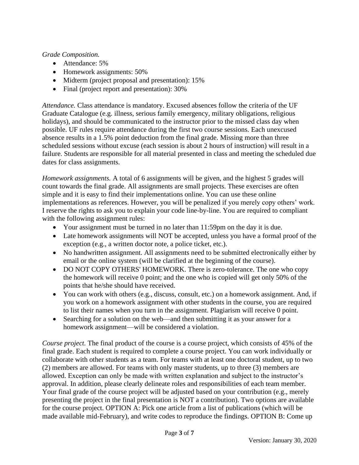*Grade Composition.*

- Attendance: 5%
- Homework assignments: 50%
- Midterm (project proposal and presentation): 15%
- Final (project report and presentation): 30%

*Attendance.* Class attendance is mandatory. Excused absences follow the criteria of the UF Graduate Catalogue (e.g. illness, serious family emergency, military obligations, religious holidays), and should be communicated to the instructor prior to the missed class day when possible. UF rules require attendance during the first two course sessions. Each unexcused absence results in a 1.5% point deduction from the final grade. Missing more than three scheduled sessions without excuse (each session is about 2 hours of instruction) will result in a failure. Students are responsible for all material presented in class and meeting the scheduled due dates for class assignments.

*Homework assignments.* A total of 6 assignments will be given, and the highest 5 grades will count towards the final grade. All assignments are small projects. These exercises are often simple and it is easy to find their implementations online. You can use these online implementations as references. However, you will be penalized if you merely copy others' work. I reserve the rights to ask you to explain your code line-by-line. You are required to compliant with the following assignment rules:

- Your assignment must be turned in no later than 11:59pm on the day it is due.
- Late homework assignments will NOT be accepted, unless you have a formal proof of the exception (e.g., a written doctor note, a police ticket, etc.).
- No handwritten assignment. All assignments need to be submitted electronically either by email or the online system (will be clarified at the beginning of the course).
- DO NOT COPY OTHERS' HOMEWORK. There is zero-tolerance. The one who copy the homework will receive 0 point; and the one who is copied will get only 50% of the points that he/she should have received.
- You can work with others (e.g., discuss, consult, etc.) on a homework assignment. And, if you work on a homework assignment with other students in the course, you are required to list their names when you turn in the assignment. Plagiarism will receive 0 point.
- Searching for a solution on the web—and then submitting it as your answer for a homework assignment—will be considered a violation.

*Course project.* The final product of the course is a course project, which consists of 45% of the final grade. Each student is required to complete a course project. You can work individually or collaborate with other students as a team. For teams with at least one doctoral student, up to two (2) members are allowed. For teams with only master students, up to three (3) members are allowed. Exception can only be made with written explanation and subject to the instructor's approval. In addition, please clearly delineate roles and responsibilities of each team member. Your final grade of the course project will be adjusted based on your contribution (e.g., merely presenting the project in the final presentation is NOT a contribution). Two options are available for the course project. OPTION A: Pick one article from a list of publications (which will be made available mid-February), and write codes to reproduce the findings. OPTION B: Come up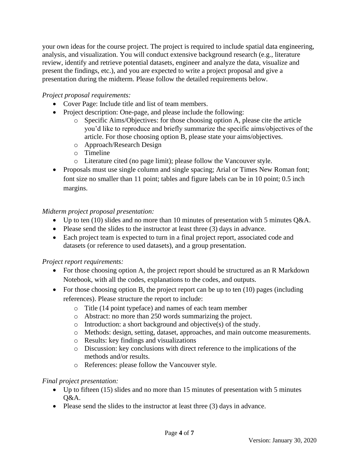your own ideas for the course project. The project is required to include spatial data engineering, analysis, and visualization. You will conduct extensive background research (e.g., literature review, identify and retrieve potential datasets, engineer and analyze the data, visualize and present the findings, etc.), and you are expected to write a project proposal and give a presentation during the midterm. Please follow the detailed requirements below.

# *Project proposal requirements:*

- Cover Page: Include title and list of team members.
- Project description: One-page, and please include the following:
	- o Specific Aims/Objectives: for those choosing option A, please cite the article you'd like to reproduce and briefly summarize the specific aims/objectives of the article. For those choosing option B, please state your aims/objectives.
	- o Approach/Research Design
	- o Timeline
	- o Literature cited (no page limit); please follow the Vancouver style.
- Proposals must use single column and single spacing; Arial or Times New Roman font; font size no smaller than 11 point; tables and figure labels can be in 10 point; 0.5 inch margins.

## *Midterm project proposal presentation:*

- Up to ten (10) slides and no more than 10 minutes of presentation with 5 minutes Q&A.
- Please send the slides to the instructor at least three (3) days in advance.
- Each project team is expected to turn in a final project report, associated code and datasets (or reference to used datasets), and a group presentation.

## *Project report requirements:*

- For those choosing option A, the project report should be structured as an R Markdown Notebook, with all the codes, explanations to the codes, and outputs.
- For those choosing option B, the project report can be up to ten (10) pages (including references). Please structure the report to include:
	- o Title (14 point typeface) and names of each team member
	- o Abstract: no more than 250 words summarizing the project.
	- o Introduction: a short background and objective(s) of the study.
	- o Methods: design, setting, dataset, approaches, and main outcome measurements.
	- o Results: key findings and visualizations
	- o Discussion: key conclusions with direct reference to the implications of the methods and/or results.
	- o References: please follow the Vancouver style.

## *Final project presentation:*

- Up to fifteen (15) slides and no more than 15 minutes of presentation with 5 minutes Q&A.
- Please send the slides to the instructor at least three (3) days in advance.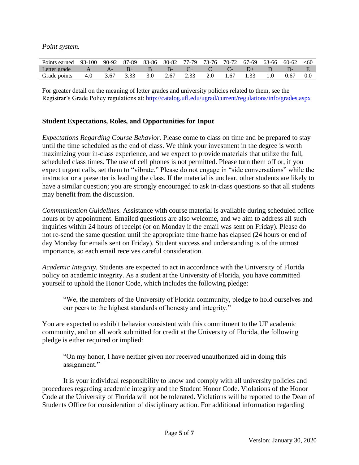*Point system.*

| Points earned 93-100 90-92 87-89 83-86 80-82 77-79 73-76 70-72 67-69 63-66 60-62 <60 |                   |  |  |                                                                                                    |  |  |      |     |
|--------------------------------------------------------------------------------------|-------------------|--|--|----------------------------------------------------------------------------------------------------|--|--|------|-----|
| Letter grade                                                                         | $A \tA - \tB +$   |  |  | $\mathsf{B}$ $\mathsf{B}$ - $\mathsf{C}$ + $\mathsf{C}$ $\mathsf{C}$ - $\mathsf{D}$ + $\mathsf{D}$ |  |  |      |     |
| Grade points                                                                         | 4.0 3.67 3.33 3.0 |  |  | 2.67 2.33 2.0 1.67 1.33 1.0                                                                        |  |  | 0.67 | 0.0 |

For greater detail on the meaning of letter grades and university policies related to them, see the Registrar's Grade Policy regulations at:<http://catalog.ufl.edu/ugrad/current/regulations/info/grades.aspx>

## **Student Expectations, Roles, and Opportunities for Input**

*Expectations Regarding Course Behavior.* Please come to class on time and be prepared to stay until the time scheduled as the end of class. We think your investment in the degree is worth maximizing your in-class experience, and we expect to provide materials that utilize the full, scheduled class times. The use of cell phones is not permitted. Please turn them off or, if you expect urgent calls, set them to "vibrate." Please do not engage in "side conversations" while the instructor or a presenter is leading the class. If the material is unclear, other students are likely to have a similar question; you are strongly encouraged to ask in-class questions so that all students may benefit from the discussion.

*Communication Guidelines.* Assistance with course material is available during scheduled office hours or by appointment. Emailed questions are also welcome, and we aim to address all such inquiries within 24 hours of receipt (or on Monday if the email was sent on Friday). Please do not re-send the same question until the appropriate time frame has elapsed (24 hours or end of day Monday for emails sent on Friday). Student success and understanding is of the utmost importance, so each email receives careful consideration.

*Academic Integrity.* Students are expected to act in accordance with the University of Florida policy on academic integrity. As a student at the University of Florida, you have committed yourself to uphold the Honor Code, which includes the following pledge:

"We, the members of the University of Florida community, pledge to hold ourselves and our peers to the highest standards of honesty and integrity."

You are expected to exhibit behavior consistent with this commitment to the UF academic community, and on all work submitted for credit at the University of Florida, the following pledge is either required or implied:

"On my honor, I have neither given nor received unauthorized aid in doing this assignment."

It is your individual responsibility to know and comply with all university policies and procedures regarding academic integrity and the Student Honor Code. Violations of the Honor Code at the University of Florida will not be tolerated. Violations will be reported to the Dean of Students Office for consideration of disciplinary action. For additional information regarding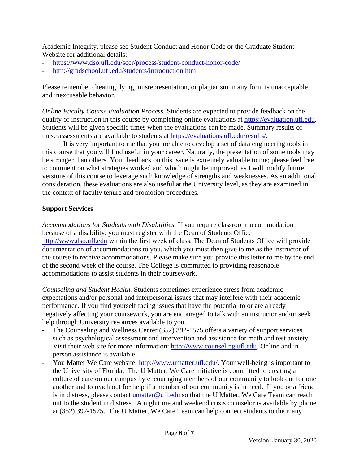Academic Integrity, please see Student Conduct and Honor Code or the Graduate Student Website for additional details:

- <https://www.dso.ufl.edu/sccr/process/student-conduct-honor-code/>
- <http://gradschool.ufl.edu/students/introduction.html>

Please remember cheating, lying, misrepresentation, or plagiarism in any form is unacceptable and inexcusable behavior.

*Online Faculty Course Evaluation Process.* Students are expected to provide feedback on the quality of instruction in this course by completing online evaluations at [https://evaluation.ufl.edu.](https://evaluation.ufl.edu/) Students will be given specific times when the evaluations can be made. Summary results of these assessments are available to students at [https://evaluations.ufl.edu/results/.](https://evaluations.ufl.edu/results/)

It is very important to me that you are able to develop a set of data engineering tools in this course that you will find useful in your career. Naturally, the presentation of some tools may be stronger than others. Your feedback on this issue is extremely valuable to me; please feel free to comment on what strategies worked and which might be improved, as I will modify future versions of this course to leverage such knowledge of strengths and weaknesses. As an additional consideration, these evaluations are also useful at the University level, as they are examined in the context of faculty tenure and promotion procedures.

#### **Support Services**

*Accommodations for Students with Disabilities.* If you require classroom accommodation because of a disability, you must register with the Dean of Students Office [http://www.dso.ufl.edu](http://www.dso.ufl.edu/) within the first week of class. The Dean of Students Office will provide documentation of accommodations to you, which you must then give to me as the instructor of the course to receive accommodations. Please make sure you provide this letter to me by the end of the second week of the course. The College is committed to providing reasonable accommodations to assist students in their coursework.

*Counseling and Student Health.* Students sometimes experience stress from academic expectations and/or personal and interpersonal issues that may interfere with their academic performance. If you find yourself facing issues that have the potential to or are already negatively affecting your coursework, you are encouraged to talk with an instructor and/or seek help through University resources available to you.

- The Counseling and Wellness Center (352) 392-1575 offers a variety of support services such as psychological assessment and intervention and assistance for math and test anxiety. Visit their web site for more information: [http://www.counseling.ufl.edu.](http://www.counseling.ufl.edu/) Online and in person assistance is available.
- You Matter We Care website: [http://www.umatter.ufl.edu/.](http://www.umatter.ufl.edu/) Your well-being is important to the University of Florida. The U Matter, We Care initiative is committed to creating a culture of care on our campus by encouraging members of our community to look out for one another and to reach out for help if a member of our community is in need. If you or a friend is in distress, please contact [umatter@ufl.edu](mailto:umatter@ufl.edu) so that the U Matter, We Care Team can reach out to the student in distress. A nighttime and weekend crisis counselor is available by phone at (352) 392-1575. The U Matter, We Care Team can help connect students to the many